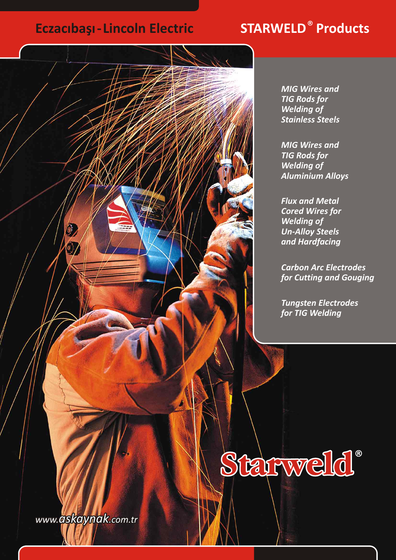# **Eczacibaşı - Lincoln Electric**

# **STARWELD<sup>®</sup> Products**



*MIG Wires and TIG Rods for Welding of Stainless Steels*

*MIG Wires and TIG Rods for Welding of Aluminium Alloys*

*Flux and Metal Cored Wires for Welding of Un-Alloy Steels and Hardfacing*

*Carbon Arc Electrodes for Cutting and Gouging*

*Tungsten Electrodes for TIG Welding*

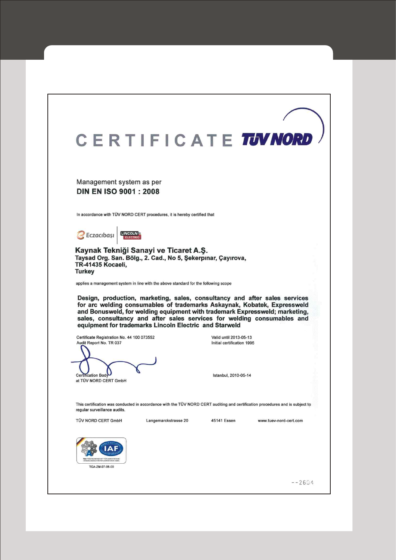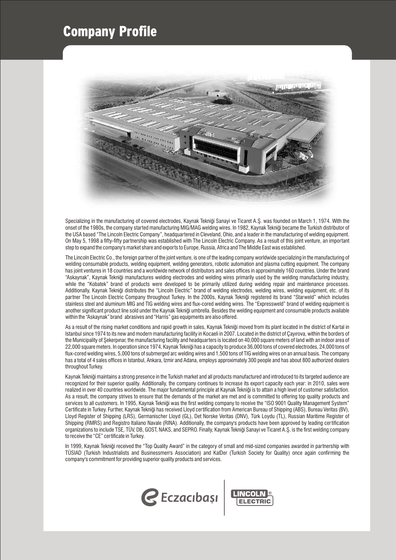# Company Profile



Specializing in the manufacturing of covered electrodes, Kaynak Tekniği Sanayi ve Ticaret A.Ş. was founded on March 1, 1974. With the onset of the 1980s, the company started manufacturing MIG/MAG welding wires. In 1982, Kaynak Tekniði became the Turkish distributor of the USA based "The Lincoln Electric Company", headquartered in Cleveland, Ohio, and a leader in the manufacturing of welding equipment. On May 5, 1998 a fifty-fifty partnership was established with The Lincoln Electric Company. As a result of this joint venture, an important step to expand the company's market share and exports to Europe, Russia, Africa and The Middle East was established.

The Lincoln Electric Co., the foreign partner of the joint venture, is one of the leading company worldwide specializing in the manufacturing of welding consumable products, welding equipment, welding generators, robotic automation and plasma cutting equipment. The company has joint ventures in 18 countries and a worldwide network of distributors and sales offices in approximately 160 countries. Under the brand "Askaynak", Kaynak Tekniði manufactures welding electrodes and welding wires primarily used by the welding manufacturing industry, while the "Kobatek" brand of products were developed to be primarily utilized during welding repair and maintenance processes. Additionally, Kaynak Tekniði distributes the "Lincoln Electric" brand of welding electrodes, welding wires, welding equipment, etc. of its partner The Lincoln Electric Company throughout Turkey. In the 2000s, Kaynak Tekniði registered its brand "Starweld" which includes stainless steel and aluminum MIG and TIG welding wires and flux-cored welding wires. The "Expressweld" brand of welding equipment is another significant product line sold under the Kaynak Tekniði umbrella. Besides the welding equipment and consumable products available within the "Askaynak" brand abrasives and "Harris" gas equipments are also offered.

As a result of the rising market conditions and rapid growth in sales, Kaynak Tekniði moved from its plant located in the district of Kartal in Istanbul since 1974 to its new and modern manufacturing facility in Kocaeli in 2007. Located in the district of Çayırova, within the borders of the Municipality of Sekerpinar, the manufacturing facility and headquarters is located on 40,000 square meters of land with an indoor area of 22,000 square meters. In operation since 1974, Kaynak Tekniði has a capacity to produce 36,000 tons of covered electrodes, 24,000 tons of flux-cored welding wires, 5,000 tons of submerged arc welding wires and 1,500 tons of TIG welding wires on an annual basis. The company has a total of 4 sales offices in Istanbul, Ankara, Izmir and Adana, employs approximately 300 people and has about 800 authorized dealers throughout Turkey.

Kaynak Tekniði maintains a strong presence in the Turkish market and all products manufactured and introduced to its targeted audience are recognized for their superior quality. Additionally, the company continues to increase its export capacity each year: in 2010, sales were realized in over 40 countries worldwide. The major fundamental principle at Kaynak Tekniði is to attain a high level of customer satisfaction. As a result, the company strives to ensure that the demands of the market are met and is committed to offering top quality products and services to all customers. In 1995, Kaynak Tekniği was the first welding company to receive the "ISO 9001 Quality Management System" Certificate in Turkey. Further, Kaynak Tekniði has received Lloyd certification from American Bureau of Shipping (ABS), Bureau Veritas (BV), Lloyd Register of Shipping (LRS), Germanischer Lloyd (GL), Det Norske Veritas (DNV), Türk Loydu (TL), Russian Maritime Register of Shipping (RMRS) and Registro Italiano Navale (RINA). Additionally, the company's products have been approved by leading certification organizations to include TSE, TÜV, DB, GOST, NAKS, and SEPRO. Finally, Kaynak Tekniği Sanayi ve Ticaret A.S. is the first welding company to receive the "CE" certificate in Turkey.

In 1999, Kaynak Tekniði received the "Top Quality Award" in the category of small and mid-sized companies awarded in partnership with TÜSIAD (Turkish Industrialists and Businessmen's Association) and KalDer (Turkish Society for Quality) once again confirming the company's commitment for providing superior quality products and services.

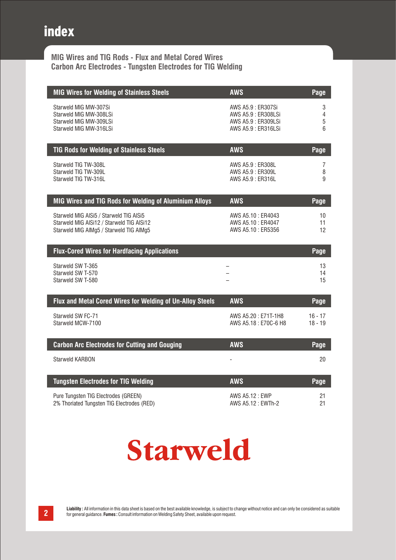# index

**MIG Wires and TIG Rods - Flux and Metal Cored Wires Carbon Arc Electrodes - Tungsten Electrodes for TIG Welding**

| <b>MIG Wires for Welding of Stainless Steels</b>                                                                                | <b>AWS</b>                                                                             | Page                 |
|---------------------------------------------------------------------------------------------------------------------------------|----------------------------------------------------------------------------------------|----------------------|
| Starweld MIG MW-307Si<br>Starweld MIG MW-308LSi<br>Starweld MIG MW-309LSi<br>Starweld MIG MW-316LSi                             | AWS A5.9: ER307Si<br>AWS A5.9 : ER308LSi<br>AWS A5.9 : ER309LSi<br>AWS A5.9 : ER316LSi | 3<br>4<br>5<br>6     |
| <b>TIG Rods for Welding of Stainless Steels</b>                                                                                 | <b>AWS</b>                                                                             | Page                 |
| Starweld TIG TW-308L<br>Starweld TIG TW-309L<br>Starweld TIG TW-316L                                                            | AWS A5.9 : ER308L<br>AWS A5.9: ER309L<br>AWS A5.9: ER316L                              | 7<br>8<br>9          |
| MIG Wires and TIG Rods for Welding of Aluminium Alloys                                                                          | <b>AWS</b>                                                                             | Page                 |
| Starweld MIG AISi5 / Starweld TIG AISi5<br>Starweld MIG AISi12 / Starweld TIG AISi12<br>Starweld MIG AIMg5 / Starweld TIG AIMg5 | AWS A5.10: ER4043<br>AWS A5.10 : ER4047<br>AWS A5.10: ER5356                           | 10<br>11<br>12       |
| <b>Flux-Cored Wires for Hardfacing Applications</b>                                                                             |                                                                                        | Page                 |
| Starweld SW T-365<br>Starweld SW T-570<br>Starweld SW T-580                                                                     | $\overline{\phantom{0}}$                                                               | 13<br>14<br>15       |
| Flux and Metal Cored Wires for Welding of Un-Alloy Steels                                                                       | <b>AWS</b>                                                                             | Page                 |
| Starweld SW FC-71<br>Starweld MCW-7100                                                                                          | AWS A5.20: E71T-1H8<br>AWS A5.18: E70C-6 H8                                            | $16 - 17$<br>18 - 19 |
| <b>Carbon Arc Electrodes for Cutting and Gouging</b>                                                                            | <b>AWS</b>                                                                             | Page                 |
| <b>Starweld KARBON</b>                                                                                                          |                                                                                        | 20                   |
| <b>Tungsten Electrodes for TIG Welding</b>                                                                                      | <b>AWS</b>                                                                             | Page                 |
| Pure Tungsten TIG Electrodes (GREEN)<br>2% Thoriated Tungsten TIG Electrodes (RED)                                              | AWS A5.12: EWP<br>AWS A5.12 : EWTh-2                                                   | 21<br>21             |

# Starweld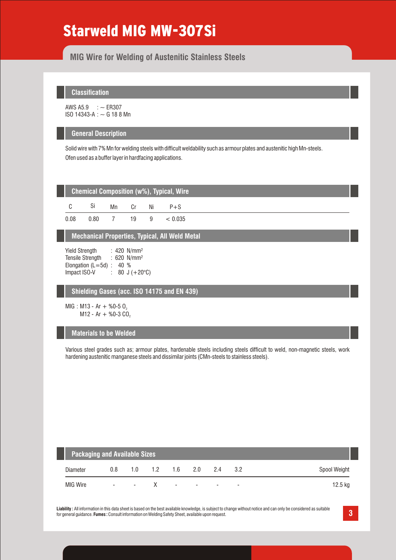# Starweld MIG MW-307Si

**MIG Wire for Welding of Austenitic Stainless Steels**

# **Classification**

AWS  $A5.9$  :  $\sim$  ER307 ISO 14343-A : ~ G 18 8 Mn

#### **General Description**

Solid wire with 7% Mn for welding steels with difficult weldability such as armour plates and austenitic high Mn-steels. Ofen used as a buffer layer in hardfacing applications.

|      | <b>Chemical Composition (w%), Typical, Wire</b> |    |     |    |         |  |  |  |  |  |  |  |
|------|-------------------------------------------------|----|-----|----|---------|--|--|--|--|--|--|--|
| C.   | Si                                              | Mn | Cr. | Ni | $P + S$ |  |  |  |  |  |  |  |
| 0.08 | 0.80                                            |    | 19  | q  | < 0.035 |  |  |  |  |  |  |  |

**Mechanical Properties, Typical, All Weld Metal**

Yield Strength Tensile Strength : 620 N/mm<sup>2</sup> Elongation (L=5d) : 40 %<br>Impact ISO-V : 80 J :  $80 \text{ J } (+20^{\circ} \text{C})$ : 420 N/mm²

### **Shielding Gases (acc. ISO 14175 and EN 439)**

MIG : M13 - Ar + %0-5  $0$ ,  $M12 - Ar + %0-3 CO,$ 

### **Materials to be Welded**

Various steel grades such as; armour plates, hardenable steels including steels difficult to weld, non-magnetic steels, work hardening austenitic manganese steels and dissimilar joints (CMn-steels to stainless steels).

|          | <b>Packaging and Available Sizes</b> |        |     |                          |                          |        |                          |              |  |  |  |  |  |
|----------|--------------------------------------|--------|-----|--------------------------|--------------------------|--------|--------------------------|--------------|--|--|--|--|--|
| Diameter | 0.8                                  | 1.0    | 1.2 | 1.6                      | 2.0                      | 24     | 32                       | Spool Weight |  |  |  |  |  |
| MIG Wire | $\sim$                               | $\sim$ |     | $\overline{\phantom{a}}$ | <b>Contract Contract</b> | $\sim$ | $\overline{\phantom{0}}$ | 12.5 kg      |  |  |  |  |  |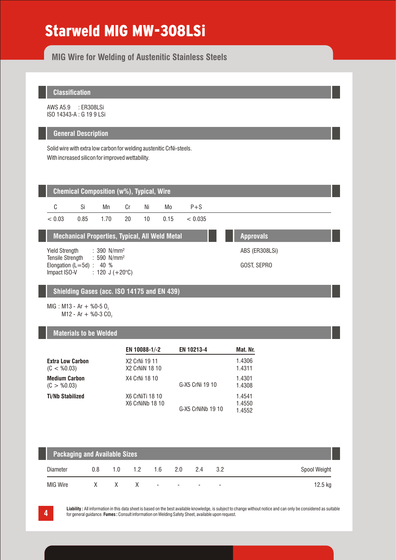# Starweld MIG MW-308LSi

**MIG Wire for Welding of Austenitic Stainless Steels**

# **Classification**

AWS A5.9 : ER308LSi ISO 14343-A : G 19 9 LSi

### **General Description**

Solid wire with extra low carbon for welding austenitic CrNi-steels. With increased silicon for improved wettability.

| <b>Chemical Composition (w%), Typical, Wire</b>                           |                       |                                                                        |    |    |                |         |  |             |  |  |  |  |  |
|---------------------------------------------------------------------------|-----------------------|------------------------------------------------------------------------|----|----|----------------|---------|--|-------------|--|--|--|--|--|
| C                                                                         | Si                    | Mn                                                                     | Cr | Ni | Mo             | $P + S$ |  |             |  |  |  |  |  |
| < 0.03                                                                    | 0.85                  | 1.70                                                                   | 20 | 10 | 0.15           | < 0.035 |  |             |  |  |  |  |  |
| <b>Mechanical Properties, Typical, All Weld Metal</b><br><b>Approvals</b> |                       |                                                                        |    |    |                |         |  |             |  |  |  |  |  |
| Yield Strength                                                            |                       | $: 390$ N/mm <sup>2</sup>                                              |    |    | ABS (ER308LSi) |         |  |             |  |  |  |  |  |
| <b>Tensile Strength</b><br>Impact ISO-V                                   | Elongation $(L=5d)$ : | $\therefore$ 590 N/mm <sup>2</sup><br>40 %<br>: 120 J $(+20^{\circ}C)$ |    |    |                |         |  | GOST, SEPRO |  |  |  |  |  |

# **Shielding Gases (acc. ISO 14175 and EN 439)**

MIG : M13 - Ar + %0-5  $0$ ,  $M12 - Ar + %0-3 CO<sub>2</sub>$ 

# **Materials to be Welded**

|                                        | EN 10088-1/-2                      | <b>EN 10213-4</b> | Mat. Nr.                   |
|----------------------------------------|------------------------------------|-------------------|----------------------------|
| <b>Extra Low Carbon</b><br>(C < 80.03) | X2 CrNi 19 11<br>X2 CrNiN 18 10    |                   | 1.4306<br>1.4311           |
| <b>Medium Carbon</b><br>(C > %0.03)    | X4 CrNi 18 10                      | G-X5 CrNi 19 10   | 1.4301<br>1.4308           |
| <b>Ti/Nb Stabilized</b>                | X6 CrNiTi 18 10<br>X6 CrNiNb 18 10 | G-X5 CrNiNb 19 10 | 1.4541<br>1.4550<br>1.4552 |

| <b>Packaging and Available Sizes</b> |     |     |                  |        |                          |                          |                          |              |  |  |  |  |
|--------------------------------------|-----|-----|------------------|--------|--------------------------|--------------------------|--------------------------|--------------|--|--|--|--|
| Diameter                             | 0.8 | 1 N | 1.2 <sup>1</sup> | 1.6    | 2.0                      | 24                       | 3.2                      | Spool Weight |  |  |  |  |
| MIG Wire                             | X.  |     | X X              | $\sim$ | $\overline{\phantom{a}}$ | $\overline{\phantom{0}}$ | $\overline{\phantom{a}}$ | 12.5 kg      |  |  |  |  |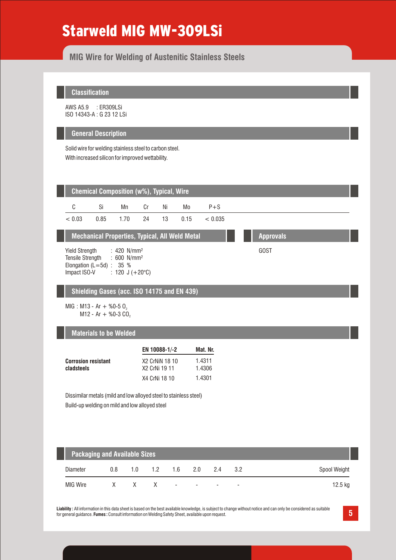# Starweld MIG MW-309LSi

**MIG Wire for Welding of Austenitic Stainless Steels**

### **Classification**

AWS A5.9 : ER309LSi ISO 14343-A : G 23 12 LSi

#### **General Description**

Solid wire for welding stainless steel to carbon steel. With increased silicon for improved wettability.



| -<br>Diameter   | 0.8      | .0       | .         | 6. ا                     | <u>.</u>                 | <u>.</u> | ◡.८                      | Spool Weight |
|-----------------|----------|----------|-----------|--------------------------|--------------------------|----------|--------------------------|--------------|
| <b>MIG Wire</b> | $\cdots$ | $\cdots$ | $\lambda$ | $\overline{\phantom{0}}$ | $\overline{\phantom{a}}$ | -        | $\overline{\phantom{0}}$ | 2.5 Kg       |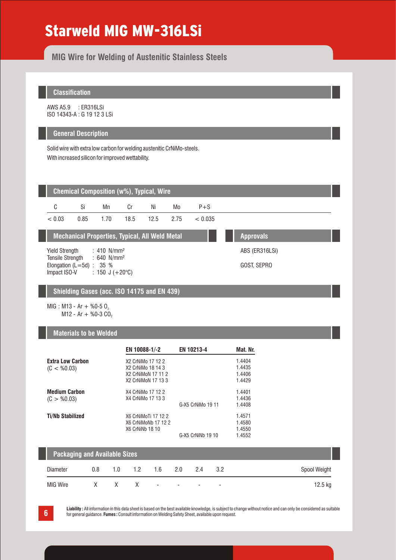# Starweld MIG MW-316LSi

**MIG Wire for Welding of Austenitic Stainless Steels**

# **Classification**

AWS A5.9 : ER316LSi ISO 14343-A : G 19 12 3 LSi

### **General Description**

Solid wire with extra low carbon for welding austenitic CrNiMo-steels. With increased silicon for improved wettability.



### **Shielding Gases (acc. ISO 14175 and EN 439)**

MIG : M13 - Ar + %0-5  $0$ ,  $M12 - Ar + %0-3 CO<sub>2</sub>$ 

### **Materials to be Welded**

| <b>Extra Low Carbon</b><br>X2 CrNiMo 17 12 2<br>X2 CrNiMo 18 14 3<br>(C < 0.03)<br>X2 CrNiMoN 17 11 2<br>X2 CrNiMoN 17 13 3<br><b>Medium Carbon</b> | 1.4404<br>1.4435<br>1.4406<br>1.4429 |
|-----------------------------------------------------------------------------------------------------------------------------------------------------|--------------------------------------|
|                                                                                                                                                     |                                      |
|                                                                                                                                                     |                                      |
|                                                                                                                                                     |                                      |
|                                                                                                                                                     |                                      |
| X4 CrNiMo 17 12 2                                                                                                                                   | 1.4401                               |
| X4 CrNiMo 17 13 3<br>(C > %0.03)                                                                                                                    | 1.4436                               |
| G-X5 CrNiMo 19 11                                                                                                                                   | 1.4408                               |
| <b>Ti/Nb Stabilized</b><br>X6 CrNiMoTi 17 12 2                                                                                                      | 1.4571                               |
| X6 CrNiMoNb 17 12 2                                                                                                                                 | 1.4580                               |
| <b>X6 CrNiNb 18 10</b>                                                                                                                              | 1.4550                               |
| G-X5 CrNiNb 19 10                                                                                                                                   | 1.4552                               |
|                                                                                                                                                     |                                      |
| <b>Packaging and Available Sizes</b>                                                                                                                |                                      |

|          | <b>Fackaying and Avanable Sizes</b> |     |               |       |        |                          |                          |              |  |  |  |  |  |
|----------|-------------------------------------|-----|---------------|-------|--------|--------------------------|--------------------------|--------------|--|--|--|--|--|
| Diameter | 0.8                                 | 1.0 | $1.2^{\circ}$ | 1.6   | 2.0    | 2.4                      | 32                       | Spool Weight |  |  |  |  |  |
| MIG Wire |                                     | X.  |               | $X -$ | $\sim$ | $\overline{\phantom{a}}$ | $\overline{\phantom{0}}$ | 12.5 ka      |  |  |  |  |  |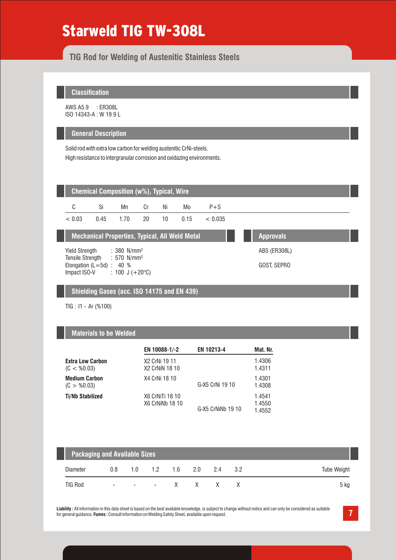# Starweld TIG TW-308L

# **TIG Rod for Welding of Austenitic Stainless Steels**

### **Classification**

AWS A5.9 : ER308L ISO 14343-A : W 19 9 L

### **General Description**

Solid rod with extra low carbon for welding austenitic CrNi-steels. High resistance to intergranular corrosion and oxidazing environments.



### **Shielding Gases (acc. ISO 14175 and EN 439)**

TIG : I1 - Ar (%100)

### **Materials to be Welded**

|                                        | EN 10088-1/-2                             | <b>EN 10213-4</b> | Mat. Nr.                   |
|----------------------------------------|-------------------------------------------|-------------------|----------------------------|
| <b>Extra Low Carbon</b><br>(C < 80.03) | X2 CrNi 19 11<br>X2 CrNiN 18 10           |                   | 1.4306<br>1.4311           |
| <b>Medium Carbon</b><br>(C > %0.03)    | X4 CrNi 18 10                             | G-X5 CrNi 19 10   | 1.4301<br>1.4308           |
| <b>Ti/Nb Stabilized</b>                | X6 CrNiTi 18 10<br><b>X6 CrNiNb 18 10</b> | G-X5 CrNiNb 19 10 | 1.4541<br>1.4550<br>1.4552 |

|          | <b>Packaging and Available Sizes</b> |                               |             |        |         |        |    |             |  |  |  |  |  |
|----------|--------------------------------------|-------------------------------|-------------|--------|---------|--------|----|-------------|--|--|--|--|--|
| Diameter | 0.8                                  |                               | $1.0 \t1.2$ | $-1.6$ | 2.0 2.4 |        | 32 | Tube Weight |  |  |  |  |  |
| TIG Rod  | ۰.                                   | the company of the company of |             |        |         | - XXXX |    | 5 kg        |  |  |  |  |  |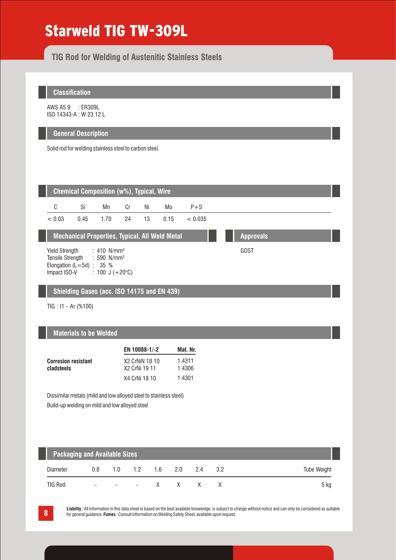# Starweld TIG TW-309L

**TIG Rod for Welding of Austenitic Stainless Steels**

**Classification**

AWS A5.9 : ER309L ISO 14343-A : W 23 12 L

### **General Description**

Solid rod for welding stainless steel to carbon steel.

| <b>Chemical Composition (w%), Typical, Wire</b> |                                                                                                                |                          |                  |      |      |         |  |  |  |  |  |  |  |
|-------------------------------------------------|----------------------------------------------------------------------------------------------------------------|--------------------------|------------------|------|------|---------|--|--|--|--|--|--|--|
| C                                               | Si                                                                                                             | Mn                       | Cr               | Ni   | Mo   | $P + S$ |  |  |  |  |  |  |  |
| < 0.03                                          | 0.45                                                                                                           | 1.70                     | 24               | 13   | 0.15 | < 0.035 |  |  |  |  |  |  |  |
|                                                 | <b>Mechanical Properties, Typical, All Weld Metal</b>                                                          |                          | <b>Approvals</b> |      |      |         |  |  |  |  |  |  |  |
| Impact ISO-V                                    | Yield Strength : 410 N/mm <sup>2</sup><br>Tensile Strength : 590 N/mm <sup>2</sup><br>Elongation (L=5d) : 35 % | : 100 J $(+20^{\circ}C)$ |                  | GOST |      |         |  |  |  |  |  |  |  |

# **Shielding Gases (acc. ISO 14175 and EN 439)**

TIG : I1 - Ar (%100)

# **Materials to be Welded**

|                            | EN 10088-1/-2  | Mat. Nr. |
|----------------------------|----------------|----------|
| <b>Corrosion resistant</b> | X2 CrNiN 18 10 | 1.4311   |
| cladsteels                 | X2 CrNi 19 11  | 1.4306   |
|                            | X4 CrNi 18 10  | 1.4301   |

Dissimilar metals (mild and low alloyed steel to stainless steel) Build-up welding on mild and low alloyed steel

| <b>Packaging and Available Sizes</b> |                          |     |                         |  |                               |              |     |                    |  |  |
|--------------------------------------|--------------------------|-----|-------------------------|--|-------------------------------|--------------|-----|--------------------|--|--|
| Diameter                             | 0.8                      | 1 N | $1.2$ $1.6$ $2.0$ $2.4$ |  |                               |              | 3.2 | <b>Tube Weight</b> |  |  |
| <b>TIG Rod</b>                       | $\overline{\phantom{a}}$ |     |                         |  | $\mathsf{X}$ and $\mathsf{X}$ | $\mathsf{X}$ |     | 5 ka               |  |  |

**8**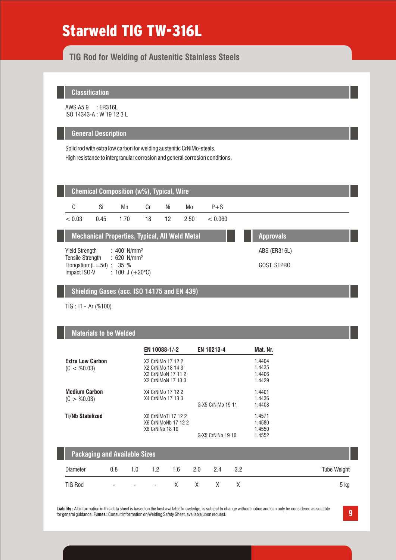# Starweld TIG TW-316L

# **TIG Rod for Welding of Austenitic Stainless Steels**

### **Classification**

AWS A5.9 : ER316L ISO 14343-A : W 19 12 3 L

### **General Description**

Solid rod with extra low carbon for welding austenitic CrNiMo-steels. High resistance to intergranular corrosion and general corrosion conditions.



### **Shielding Gases (acc. ISO 14175 and EN 439)**

TIG : I1 - Ar (%100)

### **Materials to be Welded**

|                         | EN 10088-1/-2       | EN 10213-4        | Mat. Nr. |
|-------------------------|---------------------|-------------------|----------|
| <b>Extra Low Carbon</b> | X2 CrNiMo 17 12 2   |                   | 1.4404   |
| (C < 0.03)              | X2 CrNiMo 18 14 3   |                   | 1.4435   |
|                         | X2 CrNiMoN 17 11 2  |                   | 1.4406   |
|                         | X2 CrNiMoN 17 13 3  |                   | 1.4429   |
| <b>Medium Carbon</b>    | X4 CrNiMo 17 12 2   |                   | 1.4401   |
| (C > %0.03)             | X4 CrNiMo 17 13 3   |                   | 1.4436   |
|                         |                     | G-X5 CrNiMo 19 11 | 1.4408   |
| <b>Ti/Nb Stabilized</b> | X6 CrNiMoTi 17 12 2 |                   | 1.4571   |
|                         | X6 CrNiMoNb 17 12 2 |                   | 1.4580   |
|                         | X6 CrNiNb 18 10     |                   | 1.4550   |
|                         |                     | G-X5 CrNiNb 19 10 | 1.4552   |

|          | <b>Packaging and Available Sizes</b> |     |             |     |     |    |    |             |  |  |  |
|----------|--------------------------------------|-----|-------------|-----|-----|----|----|-------------|--|--|--|
| Diameter | 0.8                                  | 1.0 | 1.2         | 1.6 | 2.0 | 24 | 32 | Tube Weight |  |  |  |
| TIG Rod  | $\overline{a}$                       |     | – – – X X X |     |     |    |    | 5 kg        |  |  |  |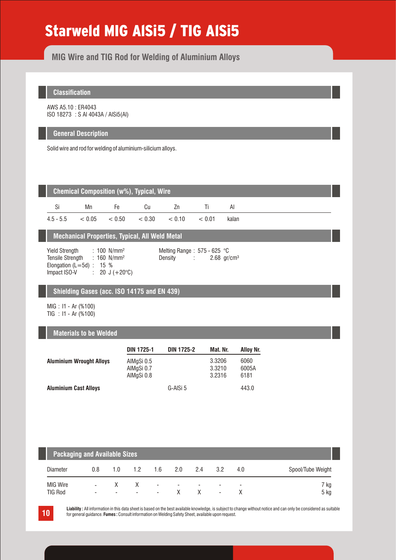# Starweld MIG AlSi5 / TIG AlSi5

**MIG Wire and TIG Rod for Welding of Aluminium Alloys**

# **Classification**

AWS A5.10 : ER4043 ISO 18273 : S Al 4043A / AlSi5(Al)

### **General Description**

Solid wire and rod for welding of aluminium-silicium alloys.

|             | <b>Chemical Composition (w%), Typical, Wire</b> |     |        |        |        |       |  |  |  |  |  |
|-------------|-------------------------------------------------|-----|--------|--------|--------|-------|--|--|--|--|--|
| Si          | Mn                                              | Fе. | CU.    | /n     |        | ΑI    |  |  |  |  |  |
| $4.5 - 5.5$ | $< 0.05$ $< 0.50$                               |     | < 0.30 | < 0.10 | < 0.01 | kalan |  |  |  |  |  |

# **Mechanical Properties, Typical, All Weld Metal**

Yield Strength  $: 160$  N/mm<sup>2</sup> Elongation (L=5d) :  $15\%$ <br>Impact ISO-V : 20 J ( : 20 J ( $+20^{\circ}$ C) : 100 N/mm²

Melting Range : 575 - 625 °C Density : 2.68 gr/cm<sup>3</sup>

### **Shielding Gases (acc. ISO 14175 and EN 439)**

MIG : I1 - Ar (%100) TIG : I1 - Ar (%100)

### **Materials to be Welded**

|                                 | <b>DIN 1725-1</b>                      | <b>DIN 1725-2</b> | Mat. Nr.                   | Alloy Nr.             |
|---------------------------------|----------------------------------------|-------------------|----------------------------|-----------------------|
| <b>Aluminium Wrought Alloys</b> | AIMgSi 0.5<br>AIMgSi 0.7<br>AIMgSi 0.8 |                   | 3.3206<br>3.3210<br>3.2316 | 6060<br>6005A<br>6181 |
| <b>Aluminium Cast Alloys</b>    |                                        | G-AISi 5          |                            | 443.0                 |

| <b>Packaging and Available Sizes</b> |                               |                          |                               |          |                               |                          |                                                      |     |                   |  |  |
|--------------------------------------|-------------------------------|--------------------------|-------------------------------|----------|-------------------------------|--------------------------|------------------------------------------------------|-----|-------------------|--|--|
| <b>Diameter</b>                      | 0.8                           | 1 O                      | 1.2                           | 1.6      | 2.0                           | 2.4                      | 3.2                                                  | 4.0 | Spool/Tube Weight |  |  |
| <b>MIG Wire</b><br><b>TIG Rod</b>    | $\overline{\phantom{a}}$<br>۰ | $\overline{\phantom{a}}$ | X<br>$\overline{\phantom{a}}$ | ۰.<br>۰. | $\overline{\phantom{a}}$<br>X | $\overline{\phantom{a}}$ | $\overline{\phantom{0}}$<br>$\overline{\phantom{a}}$ | -   | 7 kg<br>5 kg      |  |  |

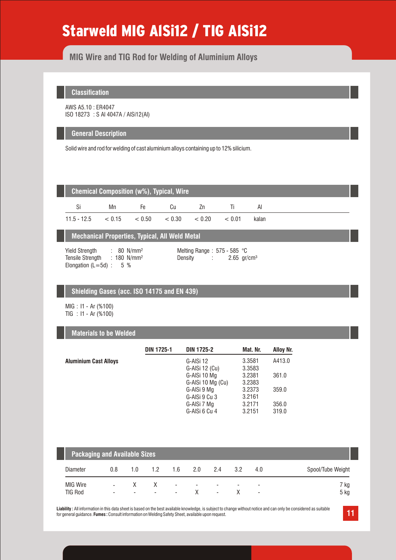# Starweld MIG AlSi12 / TIG AlSi12

# **MIG Wire and TIG Rod for Welding of Aluminium Alloys**

**Classification**

AWS A5.10 : ER4047 ISO 18273 : S Al 4047A / AlSi12(Al)

### **General Description**

Solid wire and rod for welding of cast aluminium alloys containing up to 12% silicium.

| Chemical Composition (w%), Typical, Wire |  |  |  |
|------------------------------------------|--|--|--|
| Mn                                       |  |  |  |

**Mechanical Properties, Typical, All Weld Metal**

11.5 - 12.5  $\lt 0.15 \lt 0.50 \lt 0.30$ 

Yield Strength : 80 N/mm<sup>2</sup> Melting Range : 575 - 585 °C Tensile Strength : 180 N/mm<sup>2</sup> Elongation  $(L=5d)$  : 5 % : 80 N/mm²

Density : 2.65 gr/cm<sup>3</sup>

 $< 0.20$   $< 0.01$  kalan

### **Shielding Gases (acc. ISO 14175 and EN 439)**

MIG : I1 - Ar (%100) TIG : I1 - Ar (%100)

### **Materials to be Welded**

|                              | <b>DIN 1725-1</b> | <b>DIN 1725-2</b> | Mat. Nr. | <b>Alloy Nr.</b> |
|------------------------------|-------------------|-------------------|----------|------------------|
| <b>Aluminium Cast Alloys</b> |                   | G-AISi 12         | 3.3581   | A413.0           |
|                              |                   | G-AISi 12 (Cu)    | 3.3583   |                  |
|                              |                   | G-AISi 10 Mg      | 3.2381   | 361.0            |
|                              |                   | G-AISi 10 Mg (Cu) | 3.2383   |                  |
|                              |                   | G-AISi 9 Mg       | 3.2373   | 359.0            |
|                              |                   | G-AISi 9 Cu 3     | 3.2161   |                  |
|                              |                   | G-AISi 7 Mg       | 3.2171   | 356.0            |
|                              |                   | G-AISi 6 Cu 4     | 3.2151   | 319.0            |

| <b>Packaging and Available Sizes</b> |                                                      |                          |     |                                                      |                          |        |     |                                                      |                   |  |
|--------------------------------------|------------------------------------------------------|--------------------------|-----|------------------------------------------------------|--------------------------|--------|-----|------------------------------------------------------|-------------------|--|
| Diameter                             | 0.8                                                  | 1.0                      | 1.2 | 1.6                                                  | 2.0                      | 2.4    | 3.2 | 4.0                                                  | Spool/Tube Weight |  |
| <b>MIG Wire</b><br><b>TIG Rod</b>    | $\overline{\phantom{a}}$<br>$\overline{\phantom{a}}$ | $\overline{\phantom{a}}$ | -   | $\overline{\phantom{a}}$<br>$\overline{\phantom{a}}$ | $\overline{\phantom{a}}$ | ۰<br>۰ |     | $\overline{\phantom{0}}$<br>$\overline{\phantom{a}}$ | 7 kg<br>5 kg      |  |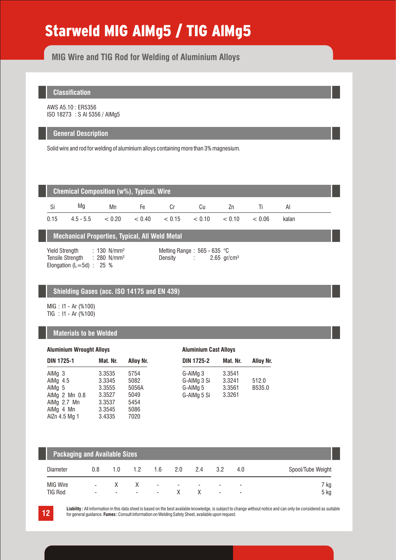# Starweld MIG AlMg5 / TIG AlMg5

**MIG Wire and TIG Rod for Welding of Aluminium Alloys**

# **Classification**

AWS A5.10 : ER5356 ISO 18273 : S Al 5356 / AlMg5

### **General Description**

Solid wire and rod for welding of aluminium alloys containing more than 3% magnesium.

|      | <b>Chemical Composition (w%), Typical, Wire</b> |        |                   |    |        |        |        |       |  |  |  |
|------|-------------------------------------------------|--------|-------------------|----|--------|--------|--------|-------|--|--|--|
| Si   | Ma                                              | Мn     | Fе.               | Cr | Сu     | Zn     |        | Al    |  |  |  |
| 0.15 | $4.5 - 5.5$                                     | < 0.20 | $< 0.40 \le 0.15$ |    | < 0.10 | < 0.10 | < 0.06 | kalan |  |  |  |

# **Mechanical Properties, Typical, All Weld Metal**

Yield Strength : 130 N/mm<sup>2</sup> Melting Range : 565 - 635 °C Tensile Strength : 280 N/mm<sup>2</sup> Elongation ( $L=5d$ ) : 25 % : 130 N/mm²

Density : 2.65 gr/cm<sup>3</sup>

# **Shielding Gases (acc. ISO 14175 and EN 439)**

MIG : I1 - Ar (%100) TIG : I1 - Ar (%100)

### **Materials to be Welded**

| <b>Aluminium Wrought Alloys</b> |          |           | <b>Aluminium Cast Alloys</b> |          |           |  |
|---------------------------------|----------|-----------|------------------------------|----------|-----------|--|
| <b>DIN 1725-1</b>               | Mat. Nr. | Alloy Nr. | <b>DIN 1725-2</b>            | Mat. Nr. | Alloy Nr. |  |
| AlMq <sub>3</sub>               | 3.3535   | 5754      | G-AIMg 3                     | 3.3541   |           |  |
| AlMg $4.5$                      | 3.3345   | 5082      | G-AIMg 3 Si                  | 3.3241   | 512.0     |  |
| AIM $q5$                        | 3.3555   | 5056A     | G-AIMg 5                     | 3.3561   | B535.0    |  |
| AlMg 2 Mn 0.8                   | 3.3527   | 5049      | G-AIMg 5 Si                  | 3.3261   |           |  |
| AIMg 2.7 Mn                     | 3.3537   | 5454      |                              |          |           |  |
| AIMg 4 Mn                       | 3.3545   | 5086      |                              |          |           |  |
| AlZn 4.5 Mg 1                   | 3.4335   | 7020      |                              |          |           |  |

| <b>Packaging and Available Sizes</b> |                                    |                          |                          |                               |                          |                          |                               |        |                   |
|--------------------------------------|------------------------------------|--------------------------|--------------------------|-------------------------------|--------------------------|--------------------------|-------------------------------|--------|-------------------|
| Diameter                             | 0.8                                | 1.0                      | 1.2                      | 1.6                           | 2.0                      | 2.4                      | 3.2                           | 4.0    | Spool/Tube Weight |
| MIG Wire<br><b>TIG Rod</b>           | $\sim$<br>$\overline{\phantom{0}}$ | $\overline{\phantom{a}}$ | $\overline{\phantom{a}}$ | $\overline{\phantom{a}}$<br>۰ | $\overline{\phantom{0}}$ | $\overline{\phantom{0}}$ | -<br>$\overline{\phantom{a}}$ | -<br>۰ | 7 kg<br>5 kg      |



**12** Liability: All information in this data sheet is based on the best available knowledge, is subject to change without notice and can only be considered as suitable<br>for general quidance. Fumes: Consult information on We for general guidance. **Fumes :** Consult information on Welding Safety Sheet, available upon request.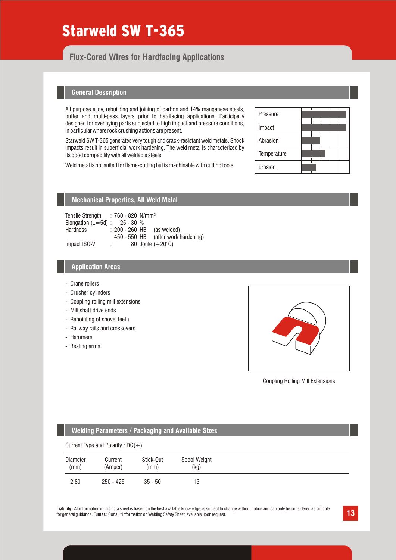# Starweld SW T-365

# **Flux-Cored Wires for Hardfacing Applications**

### **General Description**

All purpose alloy, rebuilding and joining of carbon and 14% manganese steels, buffer and multi-pass layers prior to hardfacing applications. Participally designed for overlaying parts subjected to high impact and pressure conditions, in particular where rock crushing actions are present.

Starweld SW T-365 generates very tough and crack-resistant weld metals. Shock impacts result in superficial work hardening. The weld metal is characterized by its good compability with all weldable steels.

Weld metal is not suited for flame-cutting but is machinable with cutting tools.

| Pressure    |  |  |  |
|-------------|--|--|--|
| Impact      |  |  |  |
| Abrasion    |  |  |  |
| Temperature |  |  |  |
| Erosion     |  |  |  |

# **Mechanical Properties, All Weld Metal**

Tensile Strength : 760 - 820 N/mm<sup>2</sup> Elongation  $(L=5d)$  : 25 - 30 %<br>Hardness : 200 - 260 HE  $: 200 - 260$  HB (as welded) 450 - 550 HB (after work hardening)<br>: 80 Joule  $(+20^{\circ}C)$ Impact ISO-V : 80 Joule (+20°C)

### **Application Areas**

- Crane rollers
- Crusher cylinders
- Coupling rolling mill extensions
- Mill shaft drive ends
- Repointing of shovel teeth
- Railway rails and crossovers
- Hammers
- Beating arms



Coupling Rolling Mill Extensions

| <b>Welding Parameters / Packaging and Available Sizes</b> |                                     |                   |                      |  |  |  |
|-----------------------------------------------------------|-------------------------------------|-------------------|----------------------|--|--|--|
|                                                           | Current Type and Polarity : $DC(+)$ |                   |                      |  |  |  |
| Diameter<br>(mm)                                          | Current<br>(Amper)                  | Stick-Out<br>(mm) | Spool Weight<br>(kg) |  |  |  |
| 2.80                                                      | $250 - 425$                         | $35 - 50$         | 15                   |  |  |  |

Liability : All information in this data sheet is based on the best available knowledge, is subject to change without notice and can only be considered as suitable<br>for general quidance. **Fumes** : Consult information on Wel for general guidance. **Fumes :** Consult information on Welding Safety Sheet, available upon request.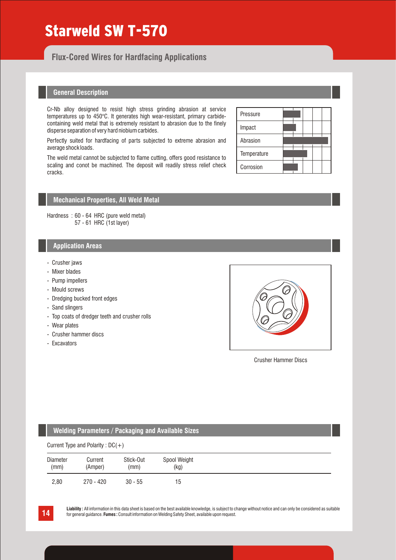# Starweld SW T-570

**Flux-Cored Wires for Hardfacing Applications**

### **General Description**

Cr-Nb alloy designed to resist high stress grinding abrasion at service temperatures up to 450°C. It generates high wear-resistant, primary carbidecontaining weld metal that is extremely resistant to abrasion due to the finely disperse separation of very hard niobium carbides.

Perfectly suited for hardfacing of parts subjected to extreme abrasion and average shock loads.

The weld metal cannot be subjected to flame cutting, offers good resistance to scaling and conot be machined. The deposit will readily stress relief check cracks.

# Pressure Impact Abrasion **Temperature** Corrosion

# **Mechanical Properties, All Weld Metal**

Hardness : 60 - 64 HRC (pure weld metal) 57 - 61 HRC (1st layer)

### **Application Areas**

- Crusher jaws
- Mixer blades
- Pump impellers
- Mould screws
- Dredging bucked front edges
- Sand slingers
- Top coats of dredger teeth and crusher rolls
- Wear plates
- Crusher hammer discs
- Excavators



Crusher Hammer Discs

### **Welding Parameters / Packaging and Available Sizes**

|--|

| Diameter | Current     | Stick-Out | Spool Weight |
|----------|-------------|-----------|--------------|
| (mm)     | (Amper)     | (mm)      | (kg)         |
| 2,80     | $270 - 420$ | $30 - 55$ | 15           |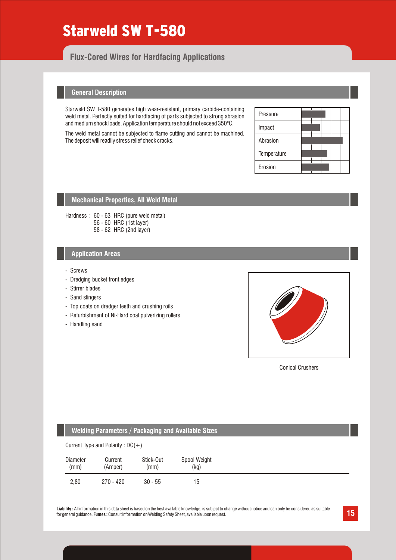# Starweld SW T-580

# **Flux-Cored Wires for Hardfacing Applications**

### **General Description**

Starweld SW T-580 generates high wear-resistant, primary carbide-containing weld metal. Perfectly suited for hardfacing of parts subjected to strong abrasion and medium shock loads. Application temperature should not exceed 350°C.

The weld metal cannot be subjected to flame cutting and cannot be machined. The deposit will readily stress relief check cracks.

| Pressure    |  |  |  |
|-------------|--|--|--|
| Impact      |  |  |  |
| Abrasion    |  |  |  |
| Temperature |  |  |  |
| Erosion     |  |  |  |

# **Mechanical Properties, All Weld Metal**

Hardness: 60 - 63 HRC (pure weld metal) 56 - 60 HRC (1st layer) 58 - 62 HRC (2nd layer)

#### **Application Areas**

- Screws
- Dredging bucket front edges
- Stirrer blades
- Sand slingers
- Top coats on dredger teeth and crushing roils
- Refurbishment of Ni-Hard coal pulverizing rollers
- Handling sand



Conical Crushers

| <b>Welding Parameters / Packaging and Available Sizes</b> |                                     |                   |                      |  |  |  |
|-----------------------------------------------------------|-------------------------------------|-------------------|----------------------|--|--|--|
|                                                           | Current Type and Polarity : $DC(+)$ |                   |                      |  |  |  |
| Diameter<br>(mm)                                          | Current<br>(Amper)                  | Stick-Out<br>(mm) | Spool Weight<br>(kg) |  |  |  |
| 2.80                                                      | $270 - 420$                         | $30 - 55$         | 15                   |  |  |  |

Liability : All information in this data sheet is based on the best available knowledge, is subject to change without notice and can only be considered as suitable<br>for general quidance. **Fumes** : Consult information on Wel for general guidance. **Fumes :** Consult information on Welding Safety Sheet, available upon request.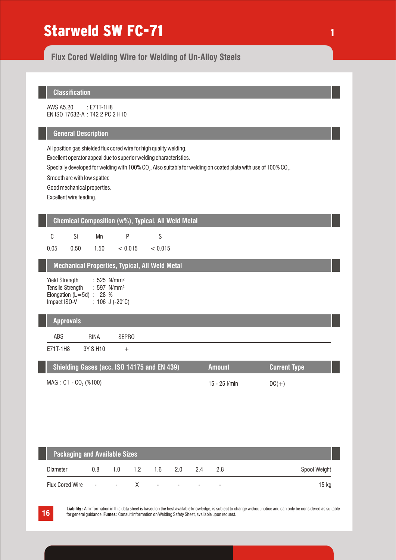# Starweld SW FC-71

**Flux Cored Welding Wire for Welding of Un-Alloy Steels**

# **Classification**

AWS A5.20 EN ISO 17632-A : T42 2 PC 2 H10 : E71T-1H8

### **General Description**

All position gas shielded flux cored wire for high quality welding.

Excellent operator appeal due to superior welding characteristics.

Specially developed for welding with 100% CO $_{\tiny 2}$ . Also suitable for welding on coated plate with use of 100% CO $_{\tiny 2}$ .

1

Smooth arc with low spatter.

Good mechanical properties.

Excellent wire feeding.

# **Chemical Composition (w%), Typical, All Weld Metal**

| $\sim$ $\sim$ $\sim$ | $\sim$ $ \sim$ | $\sim$ $\sim$ | $\sim$ $\sim$ $\sim$ | $\sim$ $\sim$ $\sim$ $\sim$ |
|----------------------|----------------|---------------|----------------------|-----------------------------|
|                      |                |               |                      |                             |

 $0.05$   $0.50$   $1.50$   $< 0.015$ 0.50  $< 0.015$ 

# **Mechanical Properties, Typical, All Weld Metal**

| Yield Strength             |  | : $525$ N/mm <sup>2</sup>  |
|----------------------------|--|----------------------------|
| <b>Tensile Strength</b>    |  | : 597 $N/mm^2$             |
| Elongation (L=5d) : 28 $%$ |  |                            |
| Impact ISO-V               |  | : 106 J (-20 $^{\circ}$ C) |

### **Approvals**

ABS RINA SEPRO

E71T-1H8 3Y S H10 +

| Shielding Gases (acc. ISO 14175 and EN 439) | <b>Amount</b>   | <b>Current Type</b> |
|---------------------------------------------|-----------------|---------------------|
| MAG: C1 - CO <sub>2</sub> (%100)            | 15 - 25 $V$ min | $DC(+)$             |

| <b>Packaging and Available Sizes</b> |        |        |                  |                          |                          |                          |                          |              |
|--------------------------------------|--------|--------|------------------|--------------------------|--------------------------|--------------------------|--------------------------|--------------|
| Diameter                             | 0.8    | 1 N    | 1.2 <sub>1</sub> | 16                       | 20 D                     | 24                       | 28                       | Spool Weight |
| <b>Flux Cored Wire</b>               | $\sim$ | $\sim$ | $\mathsf{X}$     | $\overline{\phantom{a}}$ | $\overline{\phantom{a}}$ | $\overline{\phantom{a}}$ | $\overline{\phantom{0}}$ | 15 kg        |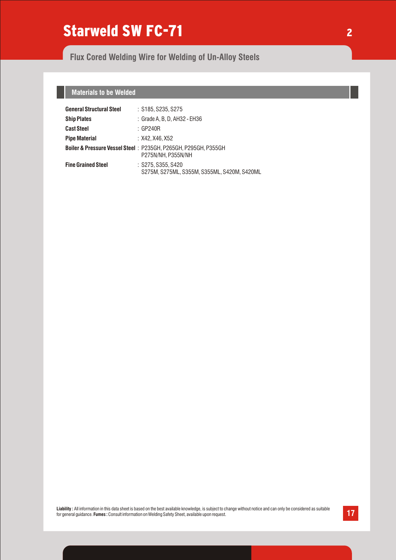# Starweld SW FC-71

# **Flux Cored Welding Wire for Welding of Un-Alloy Steels**

# **Materials to be Welded**

| <b>General Structural Steel</b> | : S185. S235. S275                                                                   |
|---------------------------------|--------------------------------------------------------------------------------------|
| <b>Ship Plates</b>              | : Grade A, B, D, AH32 - EH36                                                         |
| <b>Cast Steel</b>               | $\therefore$ GP240R                                                                  |
| <b>Pipe Material</b>            | : X42. X46. X52                                                                      |
|                                 | Boiler & Pressure Vessel Steel: P235GH, P265GH, P295GH, P355GH<br>P275N/NH, P355N/NH |
| <b>Fine Grained Steel</b>       | $:$ S275, S355, S420<br>S275M, S275ML, S355M, S355ML, S420M, S420ML                  |

Liability : All information in this data sheet is based on the best available knowledge, is subject to change without notice and can only be considered as suitable and can only be considered as suitable and can only be con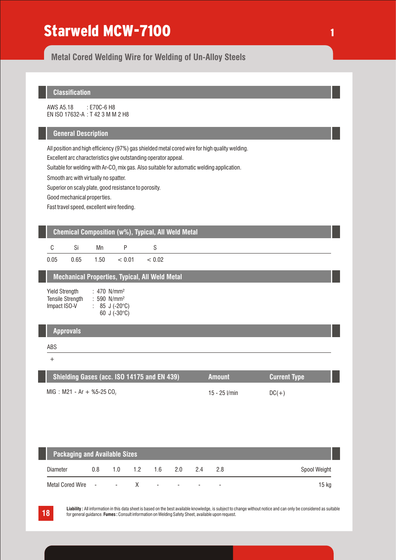# Starweld MCW-7100

**Metal Cored Welding Wire for Welding of Un-Alloy Steels**

# **Classification**

AWS A5.18 EN ISO 17632-A : T 42 3 M M 2 H8 : E70C-6 H8

### **General Description**

All position and high efficiency (97%) gas shielded metal cored wire for high quality welding.

Excellent arc characteristics give outstanding operator appeal.

Suitable for welding with Ar-CO<sub>2</sub> mix gas. Also suitable for automatic welding application.

Smooth arc with virtually no spatter.

Superior on scaly plate, good resistance to porosity.

Good mechanical properties.

Fast travel speed, excellent wire feeding.

# **Chemical Composition (w%), Typical, All Weld Metal**

| - C      | Si   | Mn   | D      |        |
|----------|------|------|--------|--------|
| $0.05\,$ | 0.65 | 1.50 | < 0.01 | < 0.02 |

# **Mechanical Properties, Typical, All Weld Metal**

| : 470 $N/mm^2$            |
|---------------------------|
| $: 590$ N/mm <sup>2</sup> |
| 85 J (-20°C)              |
| 60 J $(-30^{\circ}C)$     |
|                           |

# **Approvals**

#### ABS

+

| Shielding Gases (acc. ISO 14175 and EN 439) | <b>Amount</b>   | Current Type |  |
|---------------------------------------------|-----------------|--------------|--|
| MIG : M21 - Ar + %5-25 CO,                  | 15 - 25 $l/min$ | $DC(+)$      |  |

| <b>Packaging and Available Sizes</b> |     |        |               |     |                          |                          |                          |              |
|--------------------------------------|-----|--------|---------------|-----|--------------------------|--------------------------|--------------------------|--------------|
| Diameter                             | 0.8 | 1.0    | $1.2^{\circ}$ | 1.6 | - 20                     | 24                       | 28                       | Spool Weight |
| Metal Cored Wire -                   |     | $\sim$ | $\mathsf{X}$  | ۰.  | $\overline{\phantom{a}}$ | $\overline{\phantom{0}}$ | $\overline{\phantom{0}}$ | 15 kg        |

**18 Liability**: All information in this data sheet is based on the best available knowledge, is subject to change without notice and can only be considered as suitable<br>for general quidance. **Fumes**: Consult information o for general guidance. **Fumes :** Consult information on Welding Safety Sheet, available upon request.

### 1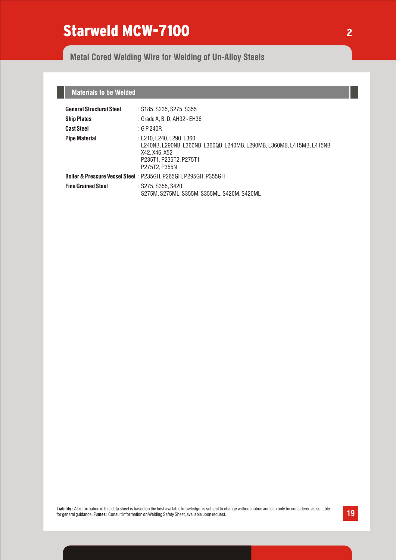# Starweld MCW-7100

# **Metal Cored Welding Wire for Welding of Un-Alloy Steels**

# **Materials to be Welded**

| <b>General Structural Steel</b> | : S185, S235, S275, S355                                                                                                                                       |
|---------------------------------|----------------------------------------------------------------------------------------------------------------------------------------------------------------|
| <b>Ship Plates</b>              | : Grade A, B, D, AH32 - EH36                                                                                                                                   |
| <b>Cast Steel</b>               | : GP240R                                                                                                                                                       |
| <b>Pipe Material</b>            | : L210. L240. L290. L360<br>L240NB, L290NB, L360NB, L360QB, L240MB, L290MB, L360MB, L415MB, L415NB<br>X42, X46, X52<br>P235T1. P235T2. P275T1<br>P275T2, P355N |
|                                 | <b>Boiler &amp; Pressure Vessel Steel: P235GH, P265GH, P295GH, P355GH</b>                                                                                      |
| <b>Fine Grained Steel</b>       | $:$ S275, S355, S420<br>S275M. S275ML. S355M. S355ML. S420M. S420ML                                                                                            |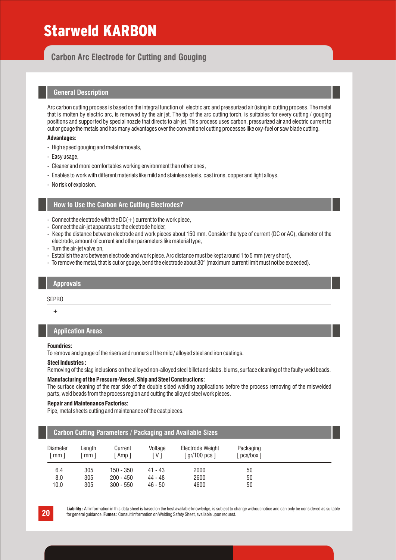# Starweld KARBON

# **Carbon Arc Electrode for Cutting and Gouging**

### **General Description**

Arc carbon cutting process is based on the integral function of electric arc and pressurized air üsing in cutting process. The metal that is molten by electric arc, is removed by the air jet. The tip of the arc cutting torch, is suitables for every cutting / gouging positions and supported by special nozzle that directs to air-jet. This process uses carbon, pressurized air and electric current to cut or gouge the metals and has many advantages over the conventionel cutting processes like oxy-fuel or saw blade cutting.

#### **Advantages:**

- High speed gouging and metal removals,
- Easy usage,
- Cleaner and more comfortables working environment than other ones,
- Enables to work with different materials like mild and stainless steels, cast irons, copper and light alloys,
- No risk of explosion.

#### **How to Use the Carbon Arc Cutting Electrodes?**

- Connect the electrode with the  $DC(+)$  current to the work piece,
- Connect the air-jet apparatus to the electrode holder,
- Keep the distance between electrode and work pieces about 150 mm. Consider the type of current (DC or AC), diameter of the electrode, amount of current and other parameters like material type,
- Turn the air-jet valve on,
- Establish the arc between electrode and work piece. Arc distance must be kept around 1 to 5 mm (very short),
- To remove the metal, that is cut or gouge, bend the electrode about  $30^{\circ}$  (maximum current limit must not be exceeded).

#### **Approvals**

#### SEPRO

 $+$ 

### **Application Areas**

#### **Foundries:**

To remove and gouge of the risers and runners of the mild / alloyed steel and iron castings.

#### **Steel Industries :**

Removing of the slag inclusions on the alloyed non-alloyed steel billet and slabs, blums, surface cleaning of the faulty weld beads.

#### **Manufacturing of the Pressure-Vessel, Ship and Steel Constructions:**

The surface cleaning of the rear side of the double sided welding applications before the process removing of the miswelded parts, weld beads from the process region and cutting the alloyed steel work pieces.

#### **Repair and Maintenance Factories:**

Pipe, metal sheets cutting and maintenance of the cast pieces.

#### **Carbon Cutting Parameters / Packaging and Available Sizes**

| <b>Diameter</b><br>mm 1 | Length<br>mm <sub>l</sub> | Current<br>Amp 1 | Voltage<br>i V 1 | Electrode Weight<br>[ gr/100 pcs ] | Packaging<br>[pcs/box ] |  |
|-------------------------|---------------------------|------------------|------------------|------------------------------------|-------------------------|--|
| 6.4                     | 305                       | $150 - 350$      | 41 - 43          | 2000                               | 50                      |  |
| 8.0                     | 305                       | $200 - 450$      | 44 - 48          | 2600                               | 50                      |  |
| 10.0                    | 305                       | $300 - 550$      | $46 - 50$        | 4600                               | 50                      |  |

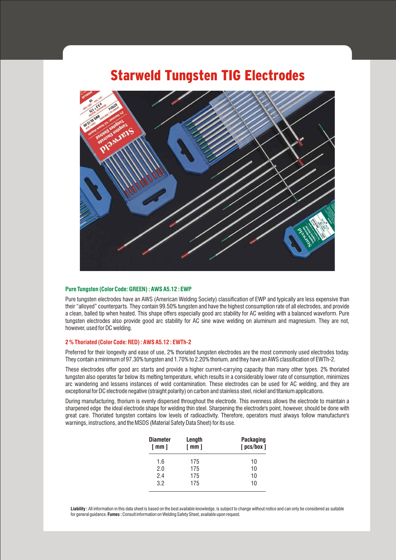# Starweld Tungsten TIG Electrodes



#### **Pure Tungsten (Color Code: GREEN) : AWS A5.12 : EWP**

Pure tungsten electrodes have an AWS (American Welding Society) classification of EWP and typically are less expensive than their "alloyed" counterparts. They contain 99.50% tungsten and have the highest consumption rate of all electrodes, and provide a clean, balled tip when heated. This shape offers especially good arc stability for AC welding with a balanced waveform. Pure tungsten electrodes also provide good arc stability for AC sine wave welding on aluminum and magnesium. They are not, however, used for DC welding.

#### **2 % Thoriated (Color Code: RED) : AWS A5.12 : EWTh-2**

Preferred for their longevity and ease of use, 2% thoriated tungsten electrodes are the most commonly used electrodes today. They contain a minimum of 97.30% tungsten and 1.70% to 2.20% thorium, and they have an AWS classification of EWTh-2.

These electrodes offer good arc starts and provide a higher current-carrying capacity than many other types. 2% thoriated tungsten also operates far below its melting temperature, which results in a considerably lower rate of consumption, minimizes arc wandering and lessens instances of weld contamination. These electrodes can be used for AC welding, and they are exceptional for DC electrode negative (straight polarity) on carbon and stainless steel, nickel and titanium applications.

During manufacturing, thorium is evenly dispersed throughout the electrode. This evenness allows the electrode to maintain a sharpened edge the ideal electrode shape for welding thin steel. Sharpening the electrode's point, however, should be done with great care. Thoriated tungsten contains low levels of radioactivity. Therefore, operators must always follow manufacture's warnings, instructions, and the MSDS (Material Safety Data Sheet) for its use.

| <b>Diameter</b><br>$\lceil$ mm $\rceil$ |     | Length<br>[mm] | <b>Packaging</b><br>$[$ pcs/box $]$ |
|-----------------------------------------|-----|----------------|-------------------------------------|
|                                         | 1.6 | 175            | 10                                  |
|                                         | 2.0 | 175            | 10                                  |
|                                         | 2.4 | 175            | 10                                  |
|                                         | 3.2 | 175            | 10                                  |
|                                         |     |                |                                     |